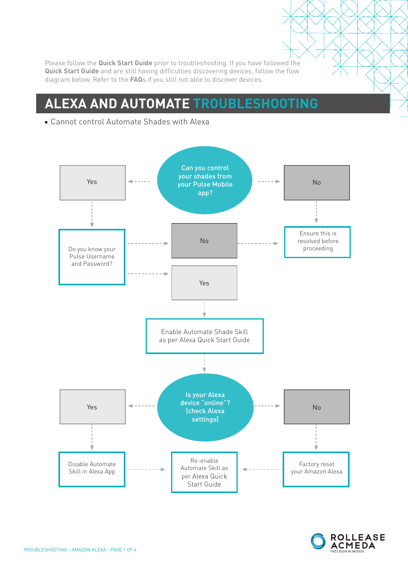Please follow the **Quick Start Guide** prior to troubleshooting. If you have followed the **Quick Start Guide** and are still having difficulties discovering devices, follow the flow diagram below. Refer to the **FAQ**s if you still not able to discover devices.

### **ALEXA AND AUTOMATE TROUBLESHOOTING**





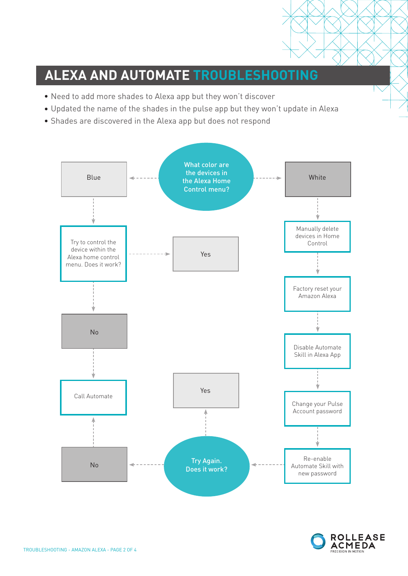## **ALEXA AND AUTOMATE TROUBLESHOOTING**

- Need to add more shades to Alexa app but they won't discover
- Updated the name of the shades in the pulse app but they won't update in Alexa
- Shades are discovered in the Alexa app but does not respond



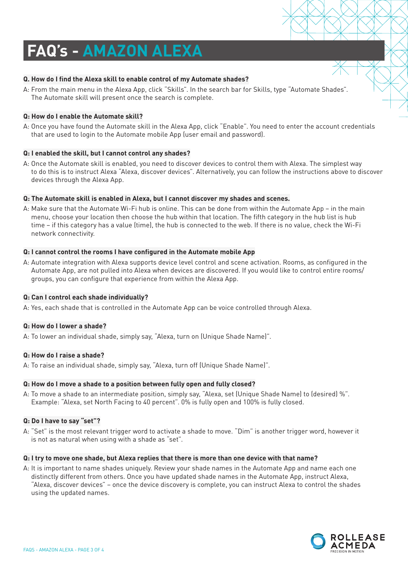# **FAQ's - AMAZON ALEXA**

#### **Q. How do I find the Alexa skill to enable control of my Automate shades?**

A: From the main menu in the Alexa App, click "Skills". In the search bar for Skills, type "Automate Shades". The Automate skill will present once the search is complete.

#### **Q: How do I enable the Automate skill?**

A: Once you have found the Automate skill in the Alexa App, click "Enable". You need to enter the account credentials that are used to login to the Automate mobile App (user email and password).

#### **Q: I enabled the skill, but I cannot control any shades?**

A: Once the Automate skill is enabled, you need to discover devices to control them with Alexa. The simplest way to do this is to instruct Alexa "Alexa, discover devices". Alternatively, you can follow the instructions above to discover devices through the Alexa App.

#### **Q: The Automate skill is enabled in Alexa, but I cannot discover my shades and scenes.**

A: Make sure that the Automate Wi-Fi hub is online. This can be done from within the Automate App – in the main menu, choose your location then choose the hub within that location. The fifth category in the hub list is hub time – if this category has a value (time), the hub is connected to the web. If there is no value, check the Wi-Fi network connectivity.

#### **Q: I cannot control the rooms I have configured in the Automate mobile App**

A: Automate integration with Alexa supports device level control and scene activation. Rooms, as configured in the Automate App, are not pulled into Alexa when devices are discovered. If you would like to control entire rooms/ groups, you can configure that experience from within the Alexa App.

#### **Q: Can I control each shade individually?**

A: Yes, each shade that is controlled in the Automate App can be voice controlled through Alexa.

#### **Q: How do I lower a shade?**

A: To lower an individual shade, simply say, "Alexa, turn on (Unique Shade Name)".

#### **Q: How do I raise a shade?**

A: To raise an individual shade, simply say, "Alexa, turn off (Unique Shade Name)".

#### **Q: How do I move a shade to a position between fully open and fully closed?**

A: To move a shade to an intermediate position, simply say, "Alexa, set (Unique Shade Name) to (desired) %". Example: "Alexa, set North Facing to 40 percent". 0% is fully open and 100% is fully closed.

#### **Q: Do I have to say "set"?**

A: "Set" is the most relevant trigger word to activate a shade to move. "Dim" is another trigger word, however it is not as natural when using with a shade as "set".

#### **Q: I try to move one shade, but Alexa replies that there is more than one device with that name?**

A: It is important to name shades uniquely. Review your shade names in the Automate App and name each one distinctly different from others. Once you have updated shade names in the Automate App, instruct Alexa, "Alexa, discover devices" – once the device discovery is complete, you can instruct Alexa to control the shades using the updated names.